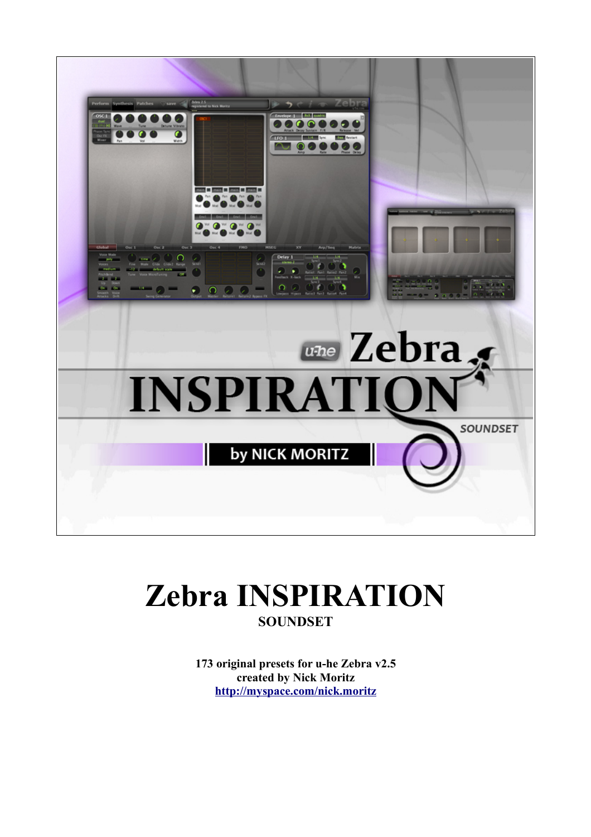

# **Zebra INSPIRATION SOUNDSET**

173 original presets for u-he Zebra v2.5 created by Nick Moritz http://myspace.com/nick.moritz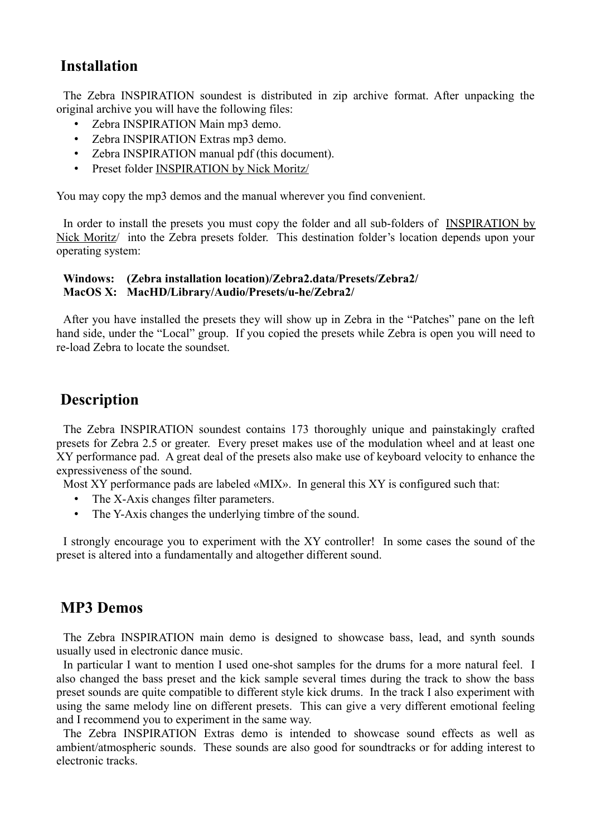# **Installation**

The Zebra INSPIRATION soundest is distributed in zip archive format. After unpacking the original archive you will have the following files:

- Zebra INSPIRATION Main mp3 demo.
- Zebra INSPIRATION Extras mp3 demo.
- Zebra INSPIRATION manual pdf (this document).
- Preset folder INSPIRATION by Nick Moritz/

You may copy the mp3 demos and the manual wherever you find convenient.

In order to install the presets you must copy the folder and all sub-folders of INSPIRATION by Nick Moritz/ into the Zebra presets folder. This destination folder's location depends upon your operating system:

### **Windows: (Zebra installation location)/Zebra2.data/Presets/Zebra2/ MacOS X: MacHD/Library/Audio/Presets/u-he/Zebra2/**

After you have installed the presets they will show up in Zebra in the "Patches" pane on the left hand side, under the "Local" group. If you copied the presets while Zebra is open you will need to re-load Zebra to locate the soundset.

## **Description**

The Zebra INSPIRATION soundest contains 173 thoroughly unique and painstakingly crafted presets for Zebra 2.5 or greater. Every preset makes use of the modulation wheel and at least one XY performance pad. A great deal of the presets also make use of keyboard velocity to enhance the expressiveness of the sound.

Most XY performance pads are labeled «MIX». In general this XY is configured such that:

- The X-Axis changes filter parameters.
- The Y-Axis changes the underlying timbre of the sound.

I strongly encourage you to experiment with the XY controller! In some cases the sound of the preset is altered into a fundamentally and altogether different sound.

### **MP3 Demos**

The Zebra INSPIRATION main demo is designed to showcase bass, lead, and synth sounds usually used in electronic dance music.

In particular I want to mention I used one-shot samples for the drums for a more natural feel. I also changed the bass preset and the kick sample several times during the track to show the bass preset sounds are quite compatible to different style kick drums. In the track I also experiment with using the same melody line on different presets. This can give a very different emotional feeling and I recommend you to experiment in the same way.

The Zebra INSPIRATION Extras demo is intended to showcase sound effects as well as ambient/atmospheric sounds. These sounds are also good for soundtracks or for adding interest to electronic tracks.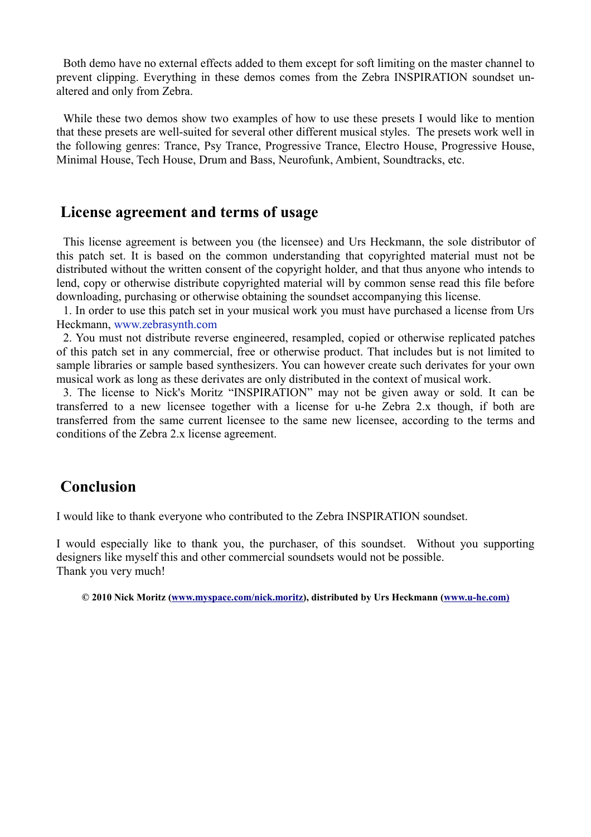Both demo have no external effects added to them except for soft limiting on the master channel to prevent clipping. Everything in these demos comes from the Zebra INSPIRATION soundset unaltered and only from Zebra.

While these two demos show two examples of how to use these presets I would like to mention that these presets are well-suited for several other different musical styles. The presets work well in the following genres: Trance, Psy Trance, Progressive Trance, Electro House, Progressive House, Minimal House, Tech House, Drum and Bass, Neurofunk, Ambient, Soundtracks, etc.

# **License agreement and terms of usage**

This license agreement is between you (the licensee) and Urs Heckmann, the sole distributor of this patch set. It is based on the common understanding that copyrighted material must not be distributed without the written consent of the copyright holder, and that thus anyone who intends to lend, copy or otherwise distribute copyrighted material will by common sense read this file before downloading, purchasing or otherwise obtaining the soundset accompanying this license.

1. In order to use this patch set in your musical work you must have purchased a license from Urs Heckmann, www.zebrasynth.com

2. You must not distribute reverse engineered, resampled, copied or otherwise replicated patches of this patch set in any commercial, free or otherwise product. That includes but is not limited to sample libraries or sample based synthesizers. You can however create such derivates for your own musical work as long as these derivates are only distributed in the context of musical work.

3. The license to Nick's Moritz "INSPIRATION" may not be given away or sold. It can be transferred to a new licensee together with a license for u-he Zebra 2.x though, if both are transferred from the same current licensee to the same new licensee, according to the terms and conditions of the Zebra 2.x license agreement.

### **Conclusion**

I would like to thank everyone who contributed to the Zebra INSPIRATION soundset.

I would especially like to thank you, the purchaser, of this soundset. Without you supporting designers like myself this and other commercial soundsets would not be possible. Thank you very much!

**© 2010 Nick Moritz [\(www.myspace.com/nick.moritz\)](http://www.myspace.com/nick.moritz), distributed by Urs Heckmann [\(www.u-he.com\)](http://www.u-he.com/)**